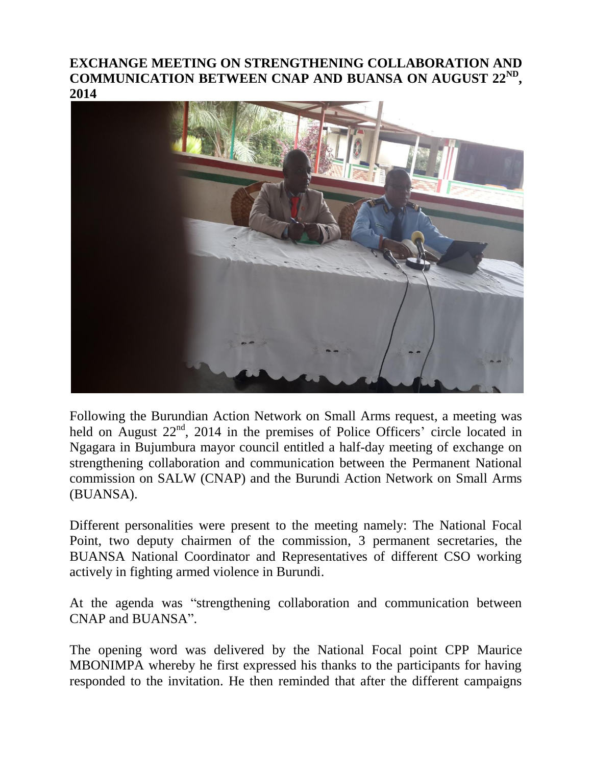## **EXCHANGE MEETING ON STRENGTHENING COLLABORATION AND COMMUNICATION BETWEEN CNAP AND BUANSA ON AUGUST 22ND , 2014**



Following the Burundian Action Network on Small Arms request, a meeting was held on August 22<sup>nd</sup>, 2014 in the premises of Police Officers' circle located in Ngagara in Bujumbura mayor council entitled a half-day meeting of exchange on strengthening collaboration and communication between the Permanent National commission on SALW (CNAP) and the Burundi Action Network on Small Arms (BUANSA).

Different personalities were present to the meeting namely: The National Focal Point, two deputy chairmen of the commission, 3 permanent secretaries, the BUANSA National Coordinator and Representatives of different CSO working actively in fighting armed violence in Burundi.

At the agenda was "strengthening collaboration and communication between CNAP and BUANSA".

The opening word was delivered by the National Focal point CPP Maurice MBONIMPA whereby he first expressed his thanks to the participants for having responded to the invitation. He then reminded that after the different campaigns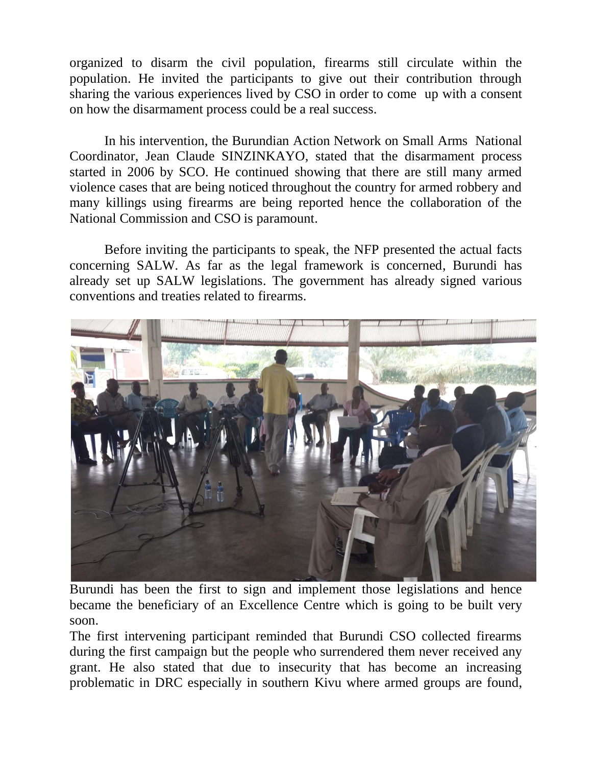organized to disarm the civil population, firearms still circulate within the population. He invited the participants to give out their contribution through sharing the various experiences lived by CSO in order to come up with a consent on how the disarmament process could be a real success.

In his intervention, the Burundian Action Network on Small Arms National Coordinator, Jean Claude SINZINKAYO, stated that the disarmament process started in 2006 by SCO. He continued showing that there are still many armed violence cases that are being noticed throughout the country for armed robbery and many killings using firearms are being reported hence the collaboration of the National Commission and CSO is paramount.

Before inviting the participants to speak, the NFP presented the actual facts concerning SALW. As far as the legal framework is concerned, Burundi has already set up SALW legislations. The government has already signed various conventions and treaties related to firearms.



Burundi has been the first to sign and implement those legislations and hence became the beneficiary of an Excellence Centre which is going to be built very soon.

The first intervening participant reminded that Burundi CSO collected firearms during the first campaign but the people who surrendered them never received any grant. He also stated that due to insecurity that has become an increasing problematic in DRC especially in southern Kivu where armed groups are found,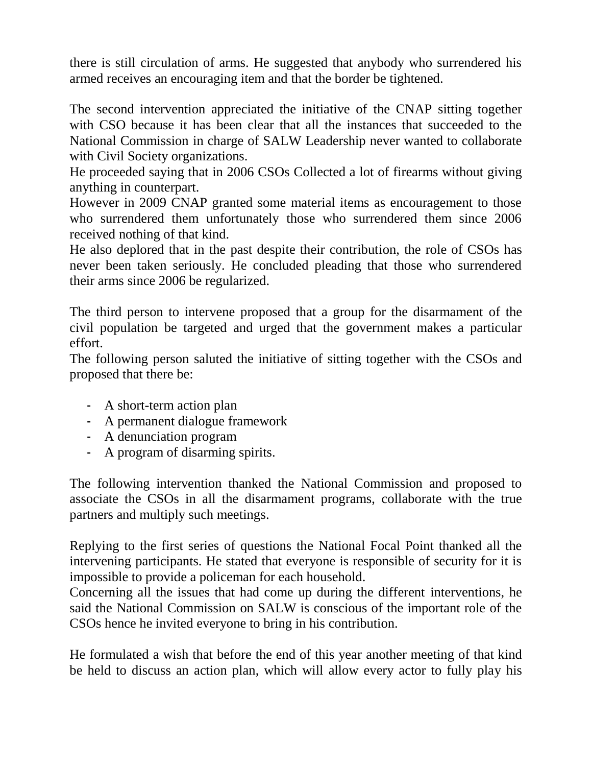there is still circulation of arms. He suggested that anybody who surrendered his armed receives an encouraging item and that the border be tightened.

The second intervention appreciated the initiative of the CNAP sitting together with CSO because it has been clear that all the instances that succeeded to the National Commission in charge of SALW Leadership never wanted to collaborate with Civil Society organizations.

He proceeded saying that in 2006 CSOs Collected a lot of firearms without giving anything in counterpart.

However in 2009 CNAP granted some material items as encouragement to those who surrendered them unfortunately those who surrendered them since 2006 received nothing of that kind.

He also deplored that in the past despite their contribution, the role of CSOs has never been taken seriously. He concluded pleading that those who surrendered their arms since 2006 be regularized.

The third person to intervene proposed that a group for the disarmament of the civil population be targeted and urged that the government makes a particular effort.

The following person saluted the initiative of sitting together with the CSOs and proposed that there be:

- A short-term action plan
- A permanent dialogue framework
- A denunciation program
- A program of disarming spirits.

The following intervention thanked the National Commission and proposed to associate the CSOs in all the disarmament programs, collaborate with the true partners and multiply such meetings.

Replying to the first series of questions the National Focal Point thanked all the intervening participants. He stated that everyone is responsible of security for it is impossible to provide a policeman for each household.

Concerning all the issues that had come up during the different interventions, he said the National Commission on SALW is conscious of the important role of the CSOs hence he invited everyone to bring in his contribution.

He formulated a wish that before the end of this year another meeting of that kind be held to discuss an action plan, which will allow every actor to fully play his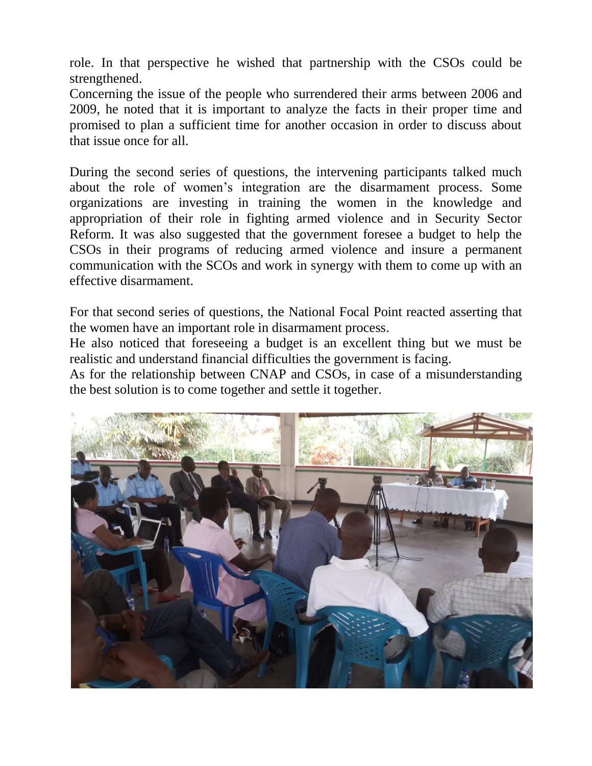role. In that perspective he wished that partnership with the CSOs could be strengthened.

Concerning the issue of the people who surrendered their arms between 2006 and 2009, he noted that it is important to analyze the facts in their proper time and promised to plan a sufficient time for another occasion in order to discuss about that issue once for all.

During the second series of questions, the intervening participants talked much about the role of women's integration are the disarmament process. Some organizations are investing in training the women in the knowledge and appropriation of their role in fighting armed violence and in Security Sector Reform. It was also suggested that the government foresee a budget to help the CSOs in their programs of reducing armed violence and insure a permanent communication with the SCOs and work in synergy with them to come up with an effective disarmament.

For that second series of questions, the National Focal Point reacted asserting that the women have an important role in disarmament process.

He also noticed that foreseeing a budget is an excellent thing but we must be realistic and understand financial difficulties the government is facing.

As for the relationship between CNAP and CSOs, in case of a misunderstanding the best solution is to come together and settle it together.